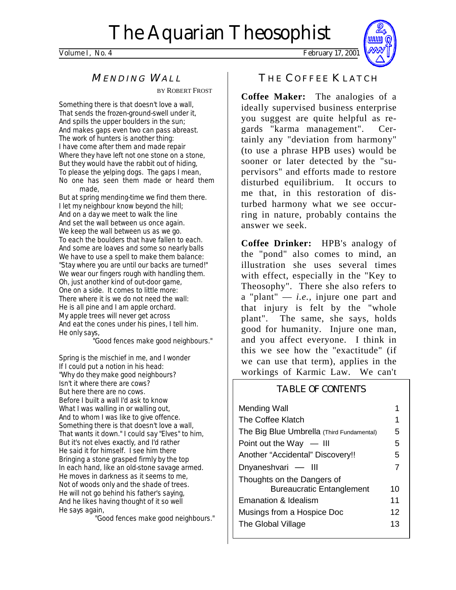Volume I, No. 4 February 17, 2001



# MENDING WALL

BY ROBERT FROST

Something there is that doesn't love a wall, That sends the frozen-ground-swell under it, And spills the upper boulders in the sun; And makes gaps even two can pass abreast. The work of hunters is another thing: I have come after them and made repair Where they have left not one stone on a stone, But they would have the rabbit out of hiding, To please the yelping dogs. The gaps I mean, No one has seen them made or heard them made,

But at spring mending-time we find them there. I let my neighbour know beyond the hill; And on a day we meet to walk the line And set the wall between us once again. We keep the wall between us as we go. To each the boulders that have fallen to each. And some are loaves and some so nearly balls We have to use a spell to make them balance: "Stay where you are until our backs are turned!" We wear our fingers rough with handling them. Oh, just another kind of out-door game, One on a side. It comes to little more: There where it is we do not need the wall: He is all pine and I am apple orchard. My apple trees will never get across And eat the cones under his pines, I tell him. He only says,

"Good fences make good neighbours."

Spring is the mischief in me, and I wonder If I could put a notion in his head: "Why do they make good neighbours? Isn't it where there are cows? But here there are no cows. Before I built a wall I'd ask to know What I was walling in or walling out, And to whom I was like to give offence. Something there is that doesn't love a wall, That wants it down." I could say "Elves" to him, But it's not elves exactly, and I'd rather He said it for himself. I see him there Bringing a stone grasped firmly by the top In each hand, like an old-stone savage armed. He moves in darkness as it seems to me, Not of woods only and the shade of trees. He will not go behind his father's saying, And he likes having thought of it so well He says again,

"Good fences make good neighbours."

THE COFFEE KLATCH

**Coffee Maker:** The analogies of a ideally supervised business enterprise you suggest are quite helpful as regards "karma management". Certainly any "deviation from harmony" (to use a phrase HPB uses) would be sooner or later detected by the "supervisors" and efforts made to restore disturbed equilibrium. It occurs to me that, in this restoration of disturbed harmony what we see occurring in nature, probably contains the answer we seek.

**Coffee Drinker:** HPB's analogy of the "pond" also comes to mind, an illustration she uses several times with effect, especially in the "Key to Theosophy". There she also refers to a "plant" — *i.e.,* injure one part and that injury is felt by the "whole plant". The same, she says, holds good for humanity. Injure one man, and you affect everyone. I think in this we see how the "exactitude" (if we can use that term), applies in the workings of Karmic Law. We can't

# TABLE OF CONTENTS

| Mending Wall                              |    |
|-------------------------------------------|----|
| The Coffee Klatch                         | 1  |
| The Big Blue Umbrella (Third Fundamental) | 5  |
| Point out the Way $-$ III                 | 5  |
| Another "Accidental" Discovery!!          | 5  |
| Dnyaneshvari - III                        | 7  |
| Thoughts on the Dangers of                |    |
| <b>Bureaucratic Entanglement</b>          | 10 |
| Emanation & Idealism                      | 11 |
| Musings from a Hospice Doc                | 12 |
| The Global Village                        | 13 |
|                                           |    |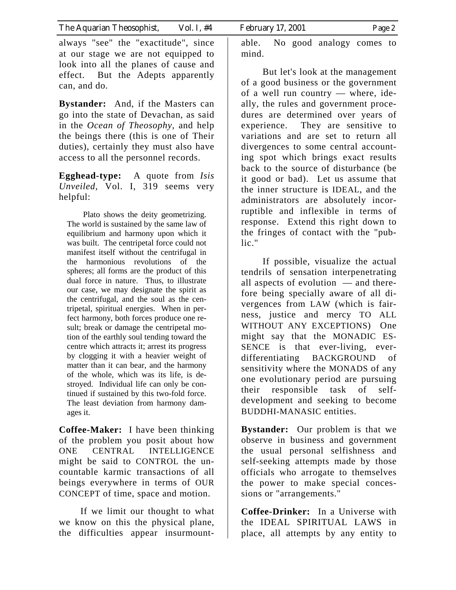always "see" the "exactitude", since at our stage we are not equipped to look into all the planes of cause and effect. But the Adepts apparently can, and do.

**Bystander:** And, if the Masters can go into the state of Devachan, as said in the *Ocean of Theosophy,* and help the beings there (this is one of Their duties), certainly they must also have access to all the personnel records.

**Egghead-type:** A quote from *Isis Unveiled,* Vol. I, 319 seems very helpful:

Plato shows the deity geometrizing. The world is sustained by the same law of equilibrium and harmony upon which it was built. The centripetal force could not manifest itself without the centrifugal in the harmonious revolutions of the spheres; all forms are the product of this dual force in nature. Thus, to illustrate our case, we may designate the spirit as the centrifugal, and the soul as the centripetal, spiritual energies. When in perfect harmony, both forces produce one result; break or damage the centripetal motion of the earthly soul tending toward the centre which attracts it; arrest its progress by clogging it with a heavier weight of matter than it can bear, and the harmony of the whole, which was its life, is destroyed. Individual life can only be continued if sustained by this two-fold force. The least deviation from harmony damages it.

**Coffee-Maker:** I have been thinking of the problem you posit about how ONE CENTRAL INTELLIGENCE might be said to CONTROL the uncountable karmic transactions of all beings everywhere in terms of OUR CONCEPT of time, space and motion.

 If we limit our thought to what we know on this the physical plane, the difficulties appear insurmountable. No good analogy comes to mind.

 But let's look at the management of a good business or the government of a well run country — where, ideally, the rules and government procedures are determined over years of experience. They are sensitive to variations and are set to return all divergences to some central accounting spot which brings exact results back to the source of disturbance (be it good or bad). Let us assume that the inner structure is IDEAL, and the administrators are absolutely incorruptible and inflexible in terms of response. Extend this right down to the fringes of contact with the "public."

 If possible, visualize the actual tendrils of sensation interpenetrating all aspects of evolution — and therefore being specially aware of all divergences from LAW (which is fairness, justice and mercy TO ALL WITHOUT ANY EXCEPTIONS) One might say that the MONADIC ES-SENCE is that ever-living, everdifferentiating BACKGROUND of sensitivity where the MONADS of any one evolutionary period are pursuing their responsible task of selfdevelopment and seeking to become BUDDHI-MANASIC entities.

**Bystander:** Our problem is that we observe in business and government the usual personal selfishness and self-seeking attempts made by those officials who arrogate to themselves the power to make special concessions or "arrangements."

**Coffee-Drinker:** In a Universe with the IDEAL SPIRITUAL LAWS in place, all attempts by any entity to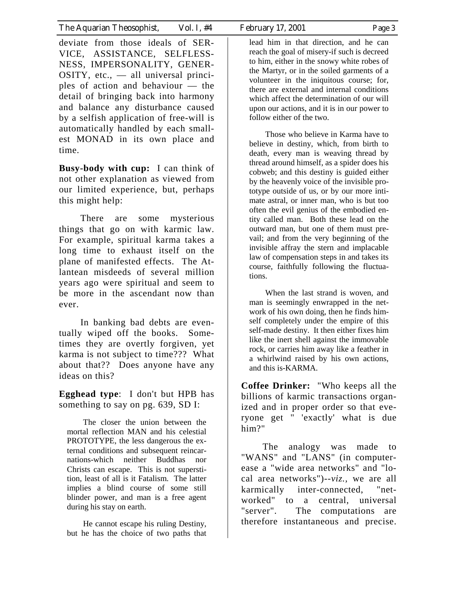deviate from those ideals of SER-VICE, ASSISTANCE, SELFLESS-NESS, IMPERSONALITY, GENER- $OSITY$ , etc.,  $\_\$ all universal principles of action and behaviour — the detail of bringing back into harmony and balance any disturbance caused by a selfish application of free-will is automatically handled by each smallest MONAD in its own place and time.

**Busy-body with cup:** I can think of not other explanation as viewed from our limited experience, but, perhaps this might help:

 There are some mysterious things that go on with karmic law. For example, spiritual karma takes a long time to exhaust itself on the plane of manifested effects. The Atlantean misdeeds of several million years ago were spiritual and seem to be more in the ascendant now than ever.

 In banking bad debts are eventually wiped off the books. Sometimes they are overtly forgiven, yet karma is not subject to time??? What about that?? Does anyone have any ideas on this?

**Egghead type**: I don't but HPB has something to say on pg. 639, SD I:

The closer the union between the mortal reflection MAN and his celestial PROTOTYPE, the less dangerous the external conditions and subsequent reincarnations-which neither Buddhas nor Christs can escape. This is not superstition, least of all is it Fatalism. The latter implies a blind course of some still blinder power, and man is a free agent during his stay on earth.

He cannot escape his ruling Destiny, but he has the choice of two paths that lead him in that direction, and he can reach the goal of misery-if such is decreed to him, either in the snowy white robes of the Martyr, or in the soiled garments of a volunteer in the iniquitous course; for, there are external and internal conditions which affect the determination of our will upon our actions, and it is in our power to follow either of the two.

Those who believe in Karma have to believe in destiny, which, from birth to death, every man is weaving thread by thread around himself, as a spider does his cobweb; and this destiny is guided either by the heavenly voice of the invisible prototype outside of us, or by our more intimate astral, or inner man, who is but too often the evil genius of the embodied entity called man. Both these lead on the outward man, but one of them must prevail; and from the very beginning of the invisible affray the stern and implacable law of compensation steps in and takes its course, faithfully following the fluctuations.

When the last strand is woven, and man is seemingly enwrapped in the network of his own doing, then he finds himself completely under the empire of this self-made destiny. It then either fixes him like the inert shell against the immovable rock, or carries him away like a feather in a whirlwind raised by his own actions, and this is-KARMA.

**Coffee Drinker:** "Who keeps all the billions of karmic transactions organized and in proper order so that everyone get " 'exactly' what is due him?"

 The analogy was made to "WANS" and "LANS" (in computerease a "wide area networks" and "local area networks")--*viz.,* we are all karmically inter-connected, "networked" to a central, universal "server". The computations are therefore instantaneous and precise.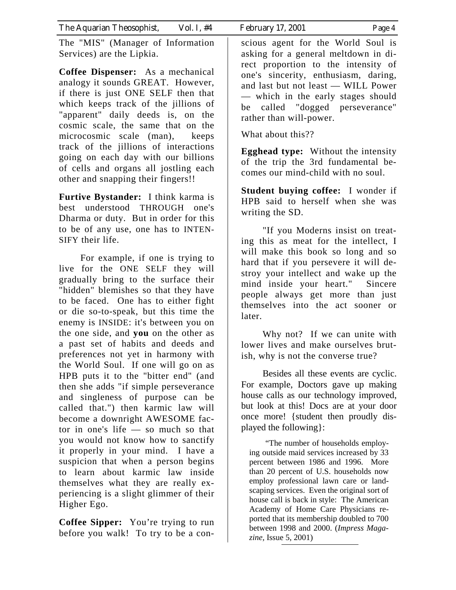The "MIS" (Manager of Information Services) are the Lipkia.

**Coffee Dispenser:** As a mechanical analogy it sounds GREAT. However, if there is just ONE SELF then that which keeps track of the jillions of "apparent" daily deeds is, on the cosmic scale, the same that on the microcosmic scale (man), keeps track of the jillions of interactions going on each day with our billions of cells and organs all jostling each other and snapping their fingers!!

**Furtive Bystander:** I think karma is best understood THROUGH one's Dharma or duty. But in order for this to be of any use, one has to INTEN-SIFY their life.

 For example, if one is trying to live for the ONE SELF they will gradually bring to the surface their "hidden" blemishes so that they have to be faced. One has to either fight or die so-to-speak, but this time the enemy is INSIDE: it's between you on the one side, and **you** on the other as a past set of habits and deeds and preferences not yet in harmony with the World Soul. If one will go on as HPB puts it to the "bitter end" (and then she adds "if simple perseverance and singleness of purpose can be called that.") then karmic law will become a downright AWESOME factor in one's life — so much so that you would not know how to sanctify it properly in your mind. I have a suspicion that when a person begins to learn about karmic law inside themselves what they are really experiencing is a slight glimmer of their Higher Ego.

**Coffee Sipper:** You're trying to run before you walk! To try to be a conscious agent for the World Soul is asking for a general meltdown in direct proportion to the intensity of one's sincerity, enthusiasm, daring, and last but not least — WILL Power — which in the early stages should be called "dogged perseverance" rather than will-power.

What about this??

**Egghead type:** Without the intensity of the trip the 3rd fundamental becomes our mind-child with no soul.

**Student buying coffee:** I wonder if HPB said to herself when she was writing the SD.

 "If you Moderns insist on treating this as meat for the intellect, I will make this book so long and so hard that if you persevere it will destroy your intellect and wake up the mind inside your heart." Sincere people always get more than just themselves into the act sooner or later.

 Why not? If we can unite with lower lives and make ourselves brutish, why is not the converse true?

Besides all these events are cyclic. For example, Doctors gave up making house calls as our technology improved, but look at this! Docs are at your door once more! {student then proudly displayed the following}:

"The number of households employing outside maid services increased by 33 percent between 1986 and 1996. More than 20 percent of U.S. households now employ professional lawn care or landscaping services. Even the original sort of house call is back in style: The American Academy of Home Care Physicians reported that its membership doubled to 700 between 1998 and 2000. (*Impress Magazine,* Issue 5, 2001)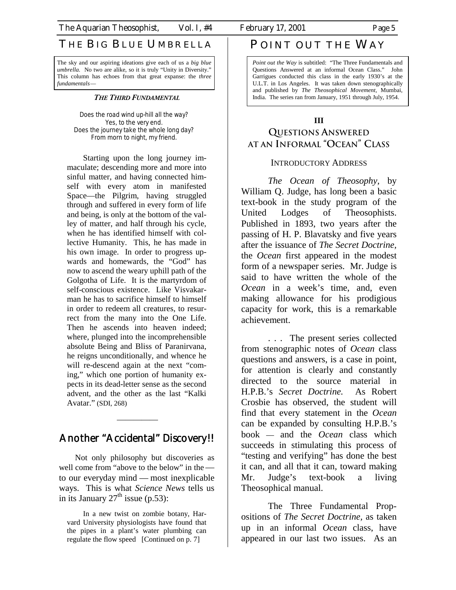# THE BIG BLUE UMBRELLA

The sky and our aspiring ideations give each of us a *big blue umbrella*. No two are alike, so it is truly "Unity in Diversity." This column has echoes from that great expanse: the *three fundamentals*—

#### *THE THIRD FUNDAMENTAL*

Does the road wind up-hill all the way? Yes, to the very end. Does the journey take the whole long day? From morn to night, my friend.

Starting upon the long journey immaculate; descending more and more into sinful matter, and having connected himself with every atom in manifested Space—the Pilgrim, having struggled through and suffered in every form of life and being, is only at the bottom of the valley of matter, and half through his cycle, when he has identified himself with collective Humanity. This, he has made in his own image. In order to progress upwards and homewards, the "God" has now to ascend the weary uphill path of the Golgotha of Life. It is the martyrdom of self-conscious existence. Like Visvakarman he has to sacrifice himself to himself in order to redeem all creatures, to resurrect from the many into the One Life. Then he ascends into heaven indeed; where, plunged into the incomprehensible absolute Being and Bliss of Paranirvana, he reigns unconditionally, and whence he will re-descend again at the next "coming," which one portion of humanity expects in its dead-letter sense as the second advent, and the other as the last "Kalki Avatar." (SDI, 268)

# Another "Accidental" Discovery!!

—————

Not only philosophy but discoveries as well come from "above to the below" in the to our everyday mind — most inexplicable ways. This is what *Science News* tells us in its January  $27<sup>th</sup>$  issue (p.53):

In a new twist on zombie botany, Harvard University physiologists have found that the pipes in a plant's water plumbing can regulate the flow speed [Continued on p. 7]

# POINT OUT THE WAY

*Point out the Way* is subtitled: "The Three Fundamentals and Questions Answered at an informal Ocean Class." John Garrigues conducted this class in the early 1930's at the U.L.T. in Los Angeles. It was taken down stenographically and published by *The Theosophical Movement,* Mumbai, India. The series ran from January, 1951 through July, 1954.

#### **III**

# **QUESTIONS ANSWERED AT AN INFORMAL "OCEAN" CLASS**

#### INTRODUCTORY ADDRESS

*The Ocean of Theosophy,* by William Q. Judge, has long been a basic text-book in the study program of the United Lodges of Theosophists. Published in 1893, two years after the passing of H. P. Blavatsky and five years after the issuance of *The Secret Doctrine,*  the *Ocean* first appeared in the modest form of a newspaper series. Mr. Judge is said to have written the whole of the *Ocean* in a week's time, and, even making allowance for his prodigious capacity for work, this is a remarkable achievement.

 . . . The present series collected from stenographic notes of *Ocean* class questions and answers, is a case in point, for attention is clearly and constantly directed to the source material in H.P.B.'s *Secret Doctrine.* As Robert Crosbie has observed, the student will find that every statement in the *Ocean*  can be expanded by consulting H.P.B.'s book — and the *Ocean* class which succeeds in stimulating this process of "testing and verifying" has done the best it can, and all that it can, toward making Mr. Judge's text-book a living Theosophical manual.

 The Three Fundamental Propositions of *The Secret Doctrine,* as taken up in an informal *Ocean* class, have appeared in our last two issues. As an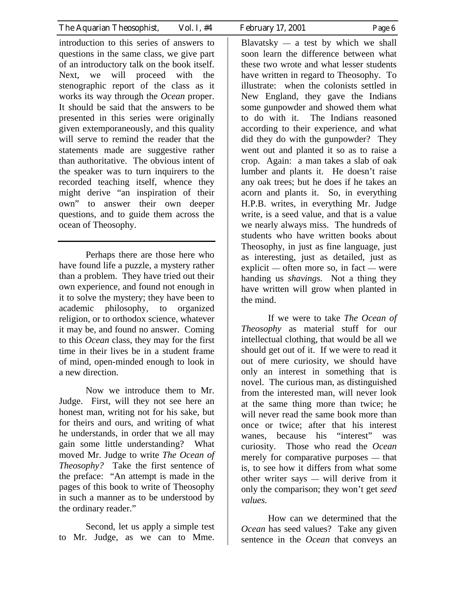introduction to this series of answers to questions in the same class, we give part of an introductory talk on the book itself. Next, we will proceed with the stenographic report of the class as it works its way through the *Ocean* proper. It should be said that the answers to be presented in this series were originally given extemporaneously, and this quality will serve to remind the reader that the statements made are suggestive rather than authoritative. The obvious intent of the speaker was to turn inquirers to the recorded teaching itself, whence they might derive "an inspiration of their own" to answer their own deeper questions, and to guide them across the ocean of Theosophy.

 Perhaps there are those here who have found life a puzzle, a mystery rather than a problem. They have tried out their own experience, and found not enough in it to solve the mystery; they have been to academic philosophy, to organized religion, or to orthodox science, whatever it may be, and found no answer. Coming to this *Ocean* class, they may for the first time in their lives be in a student frame of mind, open-minded enough to look in a new direction.

 Now we introduce them to Mr. Judge. First, will they not see here an honest man, writing not for his sake, but for theirs and ours, and writing of what he understands, in order that we all may gain some little understanding? What moved Mr. Judge to write *The Ocean of Theosophy?* Take the first sentence of the preface: "An attempt is made in the pages of this book to write of Theosophy in such a manner as to be understood by the ordinary reader."

 Second, let us apply a simple test to Mr. Judge, as we can to Mme.

Blavatsky  $-$  a test by which we shall soon learn the difference between what these two wrote and what lesser students have written in regard to Theosophy. To illustrate: when the colonists settled in New England, they gave the Indians some gunpowder and showed them what to do with it. The Indians reasoned according to their experience, and what did they do with the gunpowder? They went out and planted it so as to raise a crop. Again: a man takes a slab of oak lumber and plants it. He doesn't raise any oak trees; but he does if he takes an acorn and plants it. So, in everything H.P.B. writes, in everything Mr. Judge write, is a seed value, and that is a value we nearly always miss. The hundreds of students who have written books about Theosophy, in just as fine language, just as interesting, just as detailed, just as explicit — often more so, in fact — were handing us *shavings.* Not a thing they have written will grow when planted in the mind.

 If we were to take *The Ocean of Theosophy* as material stuff for our intellectual clothing, that would be all we should get out of it. If we were to read it out of mere curiosity, we should have only an interest in something that is novel. The curious man, as distinguished from the interested man, will never look at the same thing more than twice; he will never read the same book more than once or twice; after that his interest wanes, because his "interest" was curiosity. Those who read the *Ocean*  merely for comparative purposes — that is, to see how it differs from what some other writer says — will derive from it only the comparison; they won't get *seed values.*

 How can we determined that the *Ocean* has seed values? Take any given sentence in the *Ocean* that conveys an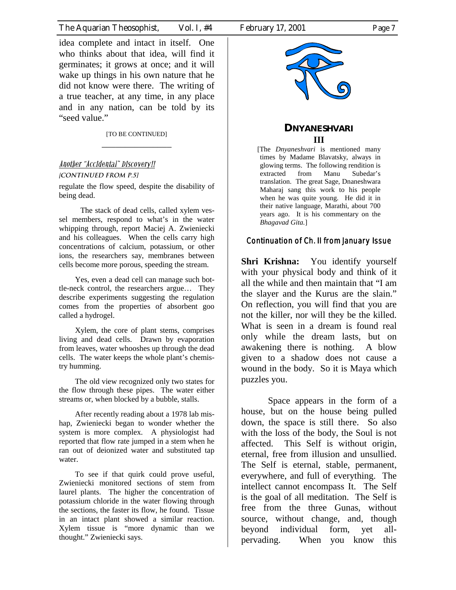idea complete and intact in itself. One who thinks about that idea, will find it germinates; it grows at once; and it will wake up things in his own nature that he did not know were there. The writing of a true teacher, at any time, in any place and in any nation, can be told by its "seed value."

> [TO BE CONTINUED] \_\_\_\_\_\_\_\_\_\_\_\_\_\_\_

## Another "Accidental" Discovery!!

#### [**continued from p.5]**

regulate the flow speed, despite the disability of being dead.

 The stack of dead cells, called xylem vessel members, respond to what's in the water whipping through, report Maciej A. Zwieniecki and his colleagues. When the cells carry high concentrations of calcium, potassium, or other ions, the researchers say, membranes between cells become more porous, speeding the stream.

Yes, even a dead cell can manage such bottle-neck control, the researchers argue… They describe experiments suggesting the regulation comes from the properties of absorbent goo called a hydrogel.

Xylem, the core of plant stems, comprises living and dead cells. Drawn by evaporation from leaves, water whooshes up through the dead cells. The water keeps the whole plant's chemistry humming.

The old view recognized only two states for the flow through these pipes. The water either streams or, when blocked by a bubble, stalls.

After recently reading about a 1978 lab mishap, Zwieniecki began to wonder whether the system is more complex. A physiologist had reported that flow rate jumped in a stem when he ran out of deionized water and substituted tap water.

To see if that quirk could prove useful, Zwieniecki monitored sections of stem from laurel plants. The higher the concentration of potassium chloride in the water flowing through the sections, the faster its flow, he found. Tissue in an intact plant showed a similar reaction. Xylem tissue is "more dynamic than we thought." Zwieniecki says.



### **DNYANESHVARI III**

[The *Dnyaneshvari* is mentioned many times by Madame Blavatsky, always in glowing terms. The following rendition is extracted from Manu Subedar's translation. The great Sage, Dnaneshwara Maharaj sang this work to his people when he was quite young. He did it in their native language, Marathi, about 700 years ago. It is his commentary on the *Bhagavad Gita.*]

#### Continuation of Ch. II from January Issue

**Shri Krishna:** You identify yourself with your physical body and think of it all the while and then maintain that "I am the slayer and the Kurus are the slain." On reflection, you will find that you are not the killer, nor will they be the killed. What is seen in a dream is found real only while the dream lasts, but on awakening there is nothing. A blow given to a shadow does not cause a wound in the body. So it is Maya which puzzles you.

 Space appears in the form of a house, but on the house being pulled down, the space is still there. So also with the loss of the body, the Soul is not affected. This Self is without origin, eternal, free from illusion and unsullied. The Self is eternal, stable, permanent, everywhere, and full of everything. The intellect cannot encompass It. The Self is the goal of all meditation. The Self is free from the three Gunas, without source, without change, and, though beyond individual form, yet allpervading. When you know this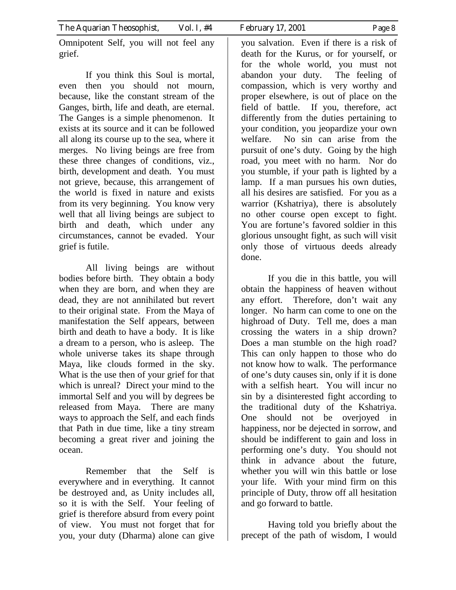Omnipotent Self, you will not feel any grief.

 If you think this Soul is mortal, even then you should not mourn, because, like the constant stream of the Ganges, birth, life and death, are eternal. The Ganges is a simple phenomenon. It exists at its source and it can be followed all along its course up to the sea, where it merges. No living beings are free from these three changes of conditions, viz., birth, development and death. You must not grieve, because, this arrangement of the world is fixed in nature and exists from its very beginning. You know very well that all living beings are subject to birth and death, which under any circumstances, cannot be evaded. Your grief is futile.

 All living beings are without bodies before birth. They obtain a body when they are born, and when they are dead, they are not annihilated but revert to their original state. From the Maya of manifestation the Self appears, between birth and death to have a body. It is like a dream to a person, who is asleep. The whole universe takes its shape through Maya, like clouds formed in the sky. What is the use then of your grief for that which is unreal? Direct your mind to the immortal Self and you will by degrees be released from Maya. There are many ways to approach the Self, and each finds that Path in due time, like a tiny stream becoming a great river and joining the ocean.

 Remember that the Self is everywhere and in everything. It cannot be destroyed and, as Unity includes all, so it is with the Self. Your feeling of grief is therefore absurd from every point of view. You must not forget that for you, your duty (Dharma) alone can give you salvation. Even if there is a risk of death for the Kurus, or for yourself, or for the whole world, you must not abandon your duty. The feeling of compassion, which is very worthy and proper elsewhere, is out of place on the field of battle. If you, therefore, act differently from the duties pertaining to your condition, you jeopardize your own welfare. No sin can arise from the pursuit of one's duty. Going by the high road, you meet with no harm. Nor do you stumble, if your path is lighted by a lamp. If a man pursues his own duties, all his desires are satisfied. For you as a warrior (Kshatriya), there is absolutely no other course open except to fight. You are fortune's favored soldier in this glorious unsought fight, as such will visit only those of virtuous deeds already done.

 If you die in this battle, you will obtain the happiness of heaven without any effort. Therefore, don't wait any longer. No harm can come to one on the highroad of Duty. Tell me, does a man crossing the waters in a ship drown? Does a man stumble on the high road? This can only happen to those who do not know how to walk. The performance of one's duty causes sin, only if it is done with a selfish heart. You will incur no sin by a disinterested fight according to the traditional duty of the Kshatriya. One should not be overjoyed in happiness, nor be dejected in sorrow, and should be indifferent to gain and loss in performing one's duty. You should not think in advance about the future, whether you will win this battle or lose your life. With your mind firm on this principle of Duty, throw off all hesitation and go forward to battle.

 Having told you briefly about the precept of the path of wisdom, I would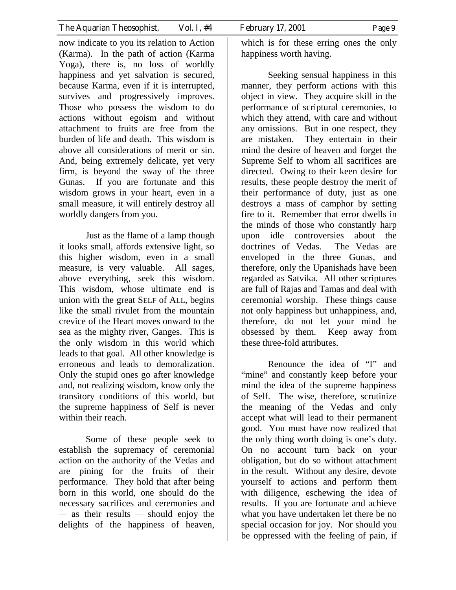now indicate to you its relation to Action (Karma). In the path of action (Karma Yoga), there is, no loss of worldly happiness and yet salvation is secured, because Karma, even if it is interrupted, survives and progressively improves. Those who possess the wisdom to do actions without egoism and without attachment to fruits are free from the burden of life and death. This wisdom is above all considerations of merit or sin. And, being extremely delicate, yet very firm, is beyond the sway of the three Gunas. If you are fortunate and this wisdom grows in your heart, even in a small measure, it will entirely destroy all worldly dangers from you.

 Just as the flame of a lamp though it looks small, affords extensive light, so this higher wisdom, even in a small measure, is very valuable. All sages, above everything, seek this wisdom. This wisdom, whose ultimate end is union with the great SELF of ALL, begins like the small rivulet from the mountain crevice of the Heart moves onward to the sea as the mighty river, Ganges. This is the only wisdom in this world which leads to that goal. All other knowledge is erroneous and leads to demoralization. Only the stupid ones go after knowledge and, not realizing wisdom, know only the transitory conditions of this world, but the supreme happiness of Self is never within their reach.

 Some of these people seek to establish the supremacy of ceremonial action on the authority of the Vedas and are pining for the fruits of their performance. They hold that after being born in this world, one should do the necessary sacrifices and ceremonies and — as their results — should enjoy the delights of the happiness of heaven,

which is for these erring ones the only happiness worth having.

 Seeking sensual happiness in this manner, they perform actions with this object in view. They acquire skill in the performance of scriptural ceremonies, to which they attend, with care and without any omissions. But in one respect, they are mistaken. They entertain in their mind the desire of heaven and forget the Supreme Self to whom all sacrifices are directed. Owing to their keen desire for results, these people destroy the merit of their performance of duty, just as one destroys a mass of camphor by setting fire to it. Remember that error dwells in the minds of those who constantly harp upon idle controversies about the doctrines of Vedas. The Vedas are enveloped in the three Gunas, and therefore, only the Upanishads have been regarded as Satvika. All other scriptures are full of Rajas and Tamas and deal with ceremonial worship. These things cause not only happiness but unhappiness, and, therefore, do not let your mind be obsessed by them. Keep away from these three-fold attributes.

 Renounce the idea of "I" and "mine" and constantly keep before your mind the idea of the supreme happiness of Self. The wise, therefore, scrutinize the meaning of the Vedas and only accept what will lead to their permanent good. You must have now realized that the only thing worth doing is one's duty. On no account turn back on your obligation, but do so without attachment in the result. Without any desire, devote yourself to actions and perform them with diligence, eschewing the idea of results. If you are fortunate and achieve what you have undertaken let there be no special occasion for joy. Nor should you be oppressed with the feeling of pain, if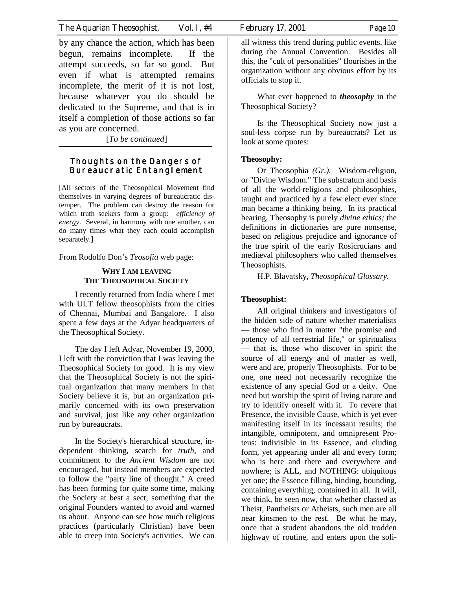by any chance the action, which has been begun, remains incomplete. If the attempt succeeds, so far so good. But even if what is attempted remains incomplete, the merit of it is not lost, because whatever you do should be dedicated to the Supreme, and that is in itself a completion of those actions so far as you are concerned.

[*To be continued*]

#### **Thoughts on the Dangers of Bureaucratic Entanglement**

[All sectors of the Theosophical Movement find themselves in varying degrees of bureaucratic distemper. The problem can destroy the reason for which truth seekers form a group: *efficiency of energy*. Several, in harmony with one another, can do many times what they each could accomplish separately.]

From Rodolfo Don's *Teosofia* web page:

#### **WHY I AM LEAVING THE THEOSOPHICAL SOCIETY**

I recently returned from India where I met with ULT fellow theosophists from the cities of Chennai, Mumbai and Bangalore. I also spent a few days at the Adyar headquarters of the Theosophical Society.

The day I left Adyar, November 19, 2000, I left with the conviction that I was leaving the Theosophical Society for good. It is my view that the Theosophical Society is not the spiritual organization that many members in that Society believe it is, but an organization primarily concerned with its own preservation and survival, just like any other organization run by bureaucrats.

In the Society's hierarchical structure, independent thinking, search for *truth,* and commitment to the *Ancient Wisdom* are not encouraged, but instead members are expected to follow the "party line of thought." A creed has been forming for quite some time, making the Society at best a sect, something that the original Founders wanted to avoid and warned us about. Anyone can see how much religious practices (particularly Christian) have been able to creep into Society's activities. We can

all witness this trend during public events, like during the Annual Convention. Besides all this, the "cult of personalities" flourishes in the organization without any obvious effort by its officials to stop it.

What ever happened to *theosophy* in the Theosophical Society?

Is the Theosophical Society now just a soul-less corpse run by bureaucrats? Let us look at some quotes:

#### **Theosophy:**

Or Theosophia *(Gr.)*. Wisdom-religion, or "Divine Wisdom." The substratum and basis of all the world-religions and philosophies, taught and practiced by a few elect ever since man became a thinking being. In its practical bearing, Theosophy is purely *divine ethics;* the definitions in dictionaries are pure nonsense, based on religious prejudice and ignorance of the true spirit of the early Rosicrucians and mediæval philosophers who called themselves Theosophists.

H.P. Blavatsky, *Theosophical Glossary.*

#### **Theosophist:**

All original thinkers and investigators of the hidden side of nature whether materialists — those who find in matter "the promise and potency of all terrestrial life," or spiritualists — that is, those who discover in spirit the source of all energy and of matter as well, were and are, properly Theosophists. For to be one, one need not necessarily recognize the existence of any special God or a deity. One need but worship the spirit of living nature and try to identify oneself with it. To revere that Presence, the invisible Cause, which is yet ever manifesting itself in its incessant results; the intangible, omnipotent, and omnipresent Proteus: indivisible in its Essence, and eluding form, yet appearing under all and every form; who is here and there and everywhere and nowhere; is ALL, and NOTHING: ubiquitous yet one; the Essence filling, binding, bounding, containing everything, contained in all. It will, we think, be seen now, that whether classed as Theist, Pantheists or Atheists, such men are all near kinsmen to the rest. Be what he may, once that a student abandons the old trodden highway of routine, and enters upon the soli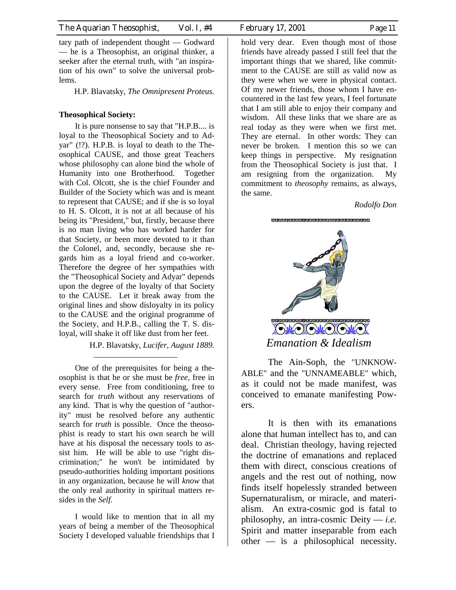tary path of independent thought — Godward — he is a Theosophist, an original thinker, a seeker after the eternal truth, with "an inspiration of his own" to solve the universal problems.

H.P. Blavatsky, *The Omnipresent Proteus.*

#### **Theosophical Society:**

It is pure nonsense to say that "H.P.B.... is loyal to the Theosophical Society and to Adyar" (!?). H.P.B. is loyal to death to the Theosophical CAUSE, and those great Teachers whose philosophy can alone bind the whole of Humanity into one Brotherhood. Together with Col. Olcott, she is the chief Founder and Builder of the Society which was and is meant to represent that CAUSE; and if she is so loyal to H. S. Olcott, it is not at all because of his being its "President," but, firstly, because there is no man living who has worked harder for that Society, or been more devoted to it than the Colonel, and, secondly, because she regards him as a loyal friend and co-worker. Therefore the degree of her sympathies with the "Theosophical Society and Adyar" depends upon the degree of the loyalty of that Society to the CAUSE. Let it break away from the original lines and show disloyalty in its policy to the CAUSE and the original programme of the Society, and H.P.B., calling the T. S. disloyal, will shake it off like dust from her feet.

H.P. Blavatsky, *Lucifer, August 1889.*

One of the prerequisites for being a theosophist is that he or she must be *free,* free in every sense. Free from conditioning, free to search for *truth* without any reservations of any kind. That is why the question of "authority" must be resolved before any authentic search for *truth* is possible. Once the theosophist is ready to start his own search he will have at his disposal the necessary tools to assist him. He will be able to use "right discrimination;" he won't be intimidated by pseudo-authorities holding important positions in any organization, because he will *know* that the only real authority in spiritual matters resides in the *Self.*

I would like to mention that in all my years of being a member of the Theosophical Society I developed valuable friendships that I hold very dear. Even though most of those friends have already passed I still feel that the important things that we shared, like commitment to the CAUSE are still as valid now as they were when we were in physical contact. Of my newer friends, those whom I have encountered in the last few years, I feel fortunate that I am still able to enjoy their company and wisdom. All these links that we share are as real today as they were when we first met. They are eternal. In other words: They can never be broken. I mention this so we can keep things in perspective. My resignation from the Theosophical Society is just that. I am resigning from the organization. My commitment to *theosophy* remains, as always, the same.

*Rodolfo Don*



 The Ain-Soph, the "UNKNOW-ABLE" and the "UNNAMEABLE" which, as it could not be made manifest, was conceived to emanate manifesting Powers.

 It is then with its emanations alone that human intellect has to, and can deal. Christian theology, having rejected the doctrine of emanations and replaced them with direct, conscious creations of angels and the rest out of nothing, now finds itself hopelessly stranded between Supernaturalism, or miracle, and materialism. An extra-cosmic god is fatal to philosophy, an intra-cosmic Deity — *i.e.* Spirit and matter inseparable from each other — is a philosophical necessity.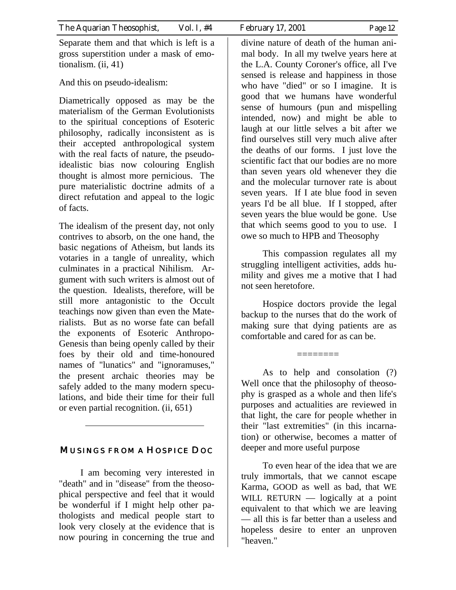Separate them and that which is left is a gross superstition under a mask of emotionalism. (ii, 41)

And this on pseudo-idealism:

Diametrically opposed as may be the materialism of the German Evolutionists to the spiritual conceptions of Esoteric philosophy, radically inconsistent as is their accepted anthropological system with the real facts of nature, the pseudoidealistic bias now colouring English thought is almost more pernicious. The pure materialistic doctrine admits of a direct refutation and appeal to the logic of facts.

The idealism of the present day, not only contrives to absorb, on the one hand, the basic negations of Atheism, but lands its votaries in a tangle of unreality, which culminates in a practical Nihilism. Argument with such writers is almost out of the question. Idealists, therefore, will be still more antagonistic to the Occult teachings now given than even the Materialists. But as no worse fate can befall the exponents of Esoteric Anthropo-Genesis than being openly called by their foes by their old and time-honoured names of "lunatics" and "ignoramuses," the present archaic theories may be safely added to the many modern speculations, and bide their time for their full or even partial recognition. (ii, 651)

# MUSINGS FROM A HOSPICE DOC

I am becoming very interested in "death" and in "disease" from the theosophical perspective and feel that it would be wonderful if I might help other pathologists and medical people start to look very closely at the evidence that is now pouring in concerning the true and

divine nature of death of the human animal body. In all my twelve years here at the L.A. County Coroner's office, all I've sensed is release and happiness in those who have "died" or so I imagine. It is good that we humans have wonderful sense of humours (pun and mispelling intended, now) and might be able to laugh at our little selves a bit after we find ourselves still very much alive after the deaths of our forms. I just love the scientific fact that our bodies are no more than seven years old whenever they die and the molecular turnover rate is about seven years. If I ate blue food in seven years I'd be all blue. If I stopped, after seven years the blue would be gone. Use that which seems good to you to use. I owe so much to HPB and Theosophy

This compassion regulates all my struggling intelligent activities, adds humility and gives me a motive that I had not seen heretofore.

Hospice doctors provide the legal backup to the nurses that do the work of making sure that dying patients are as comfortable and cared for as can be.

========

As to help and consolation (?) Well once that the philosophy of theosophy is grasped as a whole and then life's purposes and actualities are reviewed in that light, the care for people whether in their "last extremities" (in this incarnation) or otherwise, becomes a matter of deeper and more useful purpose

To even hear of the idea that we are truly immortals, that we cannot escape Karma, GOOD as well as bad, that WE WILL RETURN — logically at a point equivalent to that which we are leaving — all this is far better than a useless and hopeless desire to enter an unproven "heaven."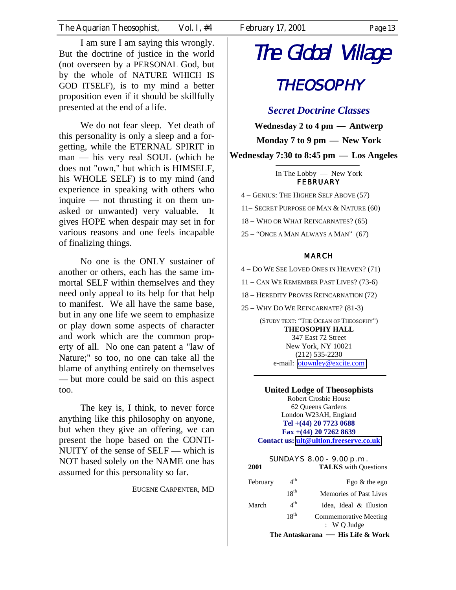I am sure I am saying this wrongly. But the doctrine of justice in the world (not overseen by a PERSONAL God, but by the whole of NATURE WHICH IS GOD ITSELF), is to my mind a better proposition even if it should be skillfully presented at the end of a life.

We do not fear sleep. Yet death of this personality is only a sleep and a forgetting, while the ETERNAL SPIRIT in man — his very real SOUL (which he does not "own," but which is HIMSELF, his WHOLE SELF) is to my mind (and experience in speaking with others who inquire — not thrusting it on them unasked or unwanted) very valuable. It gives HOPE when despair may set in for various reasons and one feels incapable of finalizing things.

No one is the ONLY sustainer of another or others, each has the same immortal SELF within themselves and they need only appeal to its help for that help to manifest. We all have the same base, but in any one life we seem to emphasize or play down some aspects of character and work which are the common property of all. No one can patent a "law of Nature;" so too, no one can take all the blame of anything entirely on themselves — but more could be said on this aspect too.

The key is, I think, to never force anything like this philosophy on anyone, but when they give an offering, we can present the hope based on the CONTI-NUITY of the sense of SELF — which is NOT based solely on the NAME one has assumed for this personality so far.

EUGENE CARPENTER, MD

# The Global Village

# **THEOSOPHY**

*Secret Doctrine Classes*

**Wednesday 2 to 4 pm — Antwerp Monday 7 to 9 pm — New York Wednesday 7:30 to 8:45 pm — Los Angeles** 

> In The Lobby — New York **FEBRUARY**

4 – GENIUS: THE HIGHER SELF ABOVE (57)

11– SECRET PURPOSE OF MAN & NATURE (60)

18 – WHO OR WHAT REINCARNATES? (65)

25 – "ONCE A MAN ALWAYS A MAN" (67)

#### MARCH

4 – DO WE SEE LOVED ONES IN HEAVEN? (71)

11 – CAN WE REMEMBER PAST LIVES? (73-6)

18 – HEREDITY PROVES REINCARNATION (72)

25 – WHY DO WE REINCARNATE? (81-3)

(STUDY TEXT: "THE OCEAN OF THEOSOPHY") **THEOSOPHY HALL**  347 East 72 Street New York, NY 10021 (212) 535-2230 e-mail: [otownley@excite.com](mailto:otownley@excite.com)

**United Lodge of Theosophists**  Robert Crosbie House 62 Queens Gardens London W23AH, England **Tel +(44) 20 7723 0688 Fax +(44) 20 7262 8639 Contact us: [ult@ultlon.freeserve.co.uk](mailto:ult@ultlon.freeserve.co.uk)**

| 2001                                |                 | SUNDAYS 8.00 - 9.00 p.m.<br><b>TALKS</b> with Questions |  |
|-------------------------------------|-----------------|---------------------------------------------------------|--|
| February                            | $4^{\text{th}}$ | Ego $&$ the ego                                         |  |
|                                     | $18^{th}$       | Memories of Past Lives                                  |  |
| March                               | $4^{\text{th}}$ | Idea, Ideal & Illusion                                  |  |
|                                     | $18^{th}$       | <b>Commemorative Meeting</b>                            |  |
|                                     |                 | $\colon W$ O Judge                                      |  |
| The Antaskarana  —  His Life & Work |                 |                                                         |  |